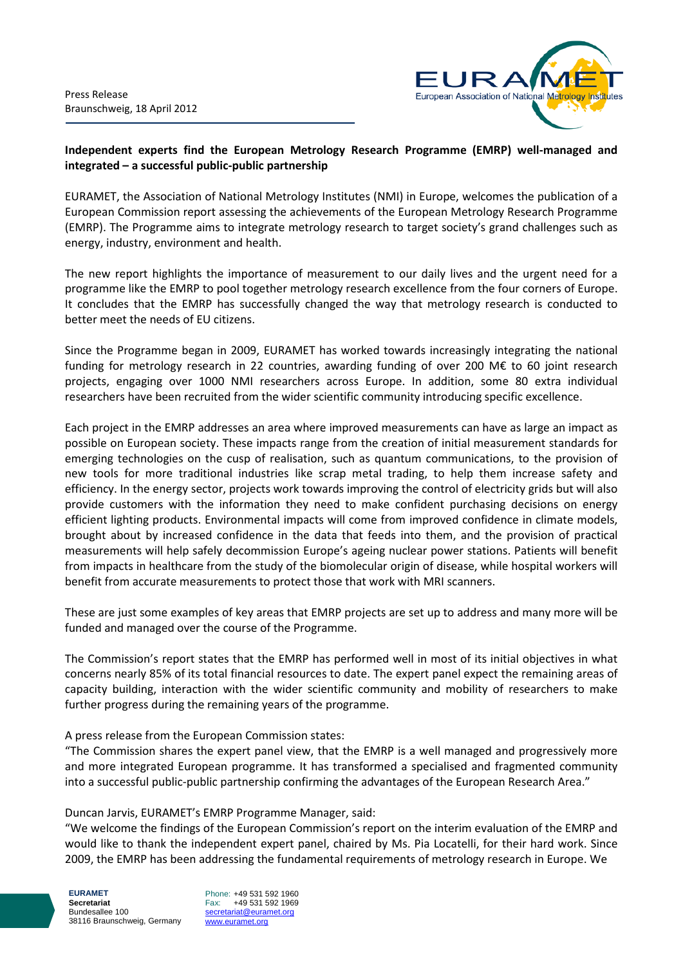

## **Independent experts find the European Metrology Research Programme (EMRP) well-managed and integrated – a successful public-public partnership**

EURAMET, the Association of National Metrology Institutes (NMI) in Europe, welcomes the publication of a European Commission report assessing the achievements of the European Metrology Research Programme (EMRP). The Programme aims to integrate metrology research to target society's grand challenges such as energy, industry, environment and health.

The new report highlights the importance of measurement to our daily lives and the urgent need for a programme like the EMRP to pool together metrology research excellence from the four corners of Europe. It concludes that the EMRP has successfully changed the way that metrology research is conducted to better meet the needs of EU citizens.

Since the Programme began in 2009, EURAMET has worked towards increasingly integrating the national funding for metrology research in 22 countries, awarding funding of over 200 M€ to 60 joint research projects, engaging over 1000 NMI researchers across Europe. In addition, some 80 extra individual researchers have been recruited from the wider scientific community introducing specific excellence.

Each project in the EMRP addresses an area where improved measurements can have as large an impact as possible on European society. These impacts range from the creation of initial measurement standards for emerging technologies on the cusp of realisation, such as quantum communications, to the provision of new tools for more traditional industries like scrap metal trading, to help them increase safety and efficiency. In the energy sector, projects work towards improving the control of electricity grids but will also provide customers with the information they need to make confident purchasing decisions on energy efficient lighting products. Environmental impacts will come from improved confidence in climate models, brought about by increased confidence in the data that feeds into them, and the provision of practical measurements will help safely decommission Europe's ageing nuclear power stations. Patients will benefit from impacts in healthcare from the study of the biomolecular origin of disease, while hospital workers will benefit from accurate measurements to protect those that work with MRI scanners.

These are just some examples of key areas that EMRP projects are set up to address and many more will be funded and managed over the course of the Programme.

The Commission's report states that the EMRP has performed well in most of its initial objectives in what concerns nearly 85% of its total financial resources to date. The expert panel expect the remaining areas of capacity building, interaction with the wider scientific community and mobility of researchers to make further progress during the remaining years of the programme.

## A press release from the European Commission states:

"The Commission shares the expert panel view, that the EMRP is a well managed and progressively more and more integrated European programme. It has transformed a specialised and fragmented community into a successful public-public partnership confirming the advantages of the European Research Area."

## Duncan Jarvis, EURAMET's EMRP Programme Manager, said:

"We welcome the findings of the European Commission's report on the interim evaluation of the EMRP and would like to thank the independent expert panel, chaired by Ms. Pia Locatelli, for their hard work. Since 2009, the EMRP has been addressing the fundamental requirements of metrology research in Europe. We

**EURAMET Secretariat** Bundesallee 100 38116 Braunschweig, Germany Phone: +49 531 592 1960 Fax: +49 531 592 1969 secretariat@euramet.org www.euramet.org